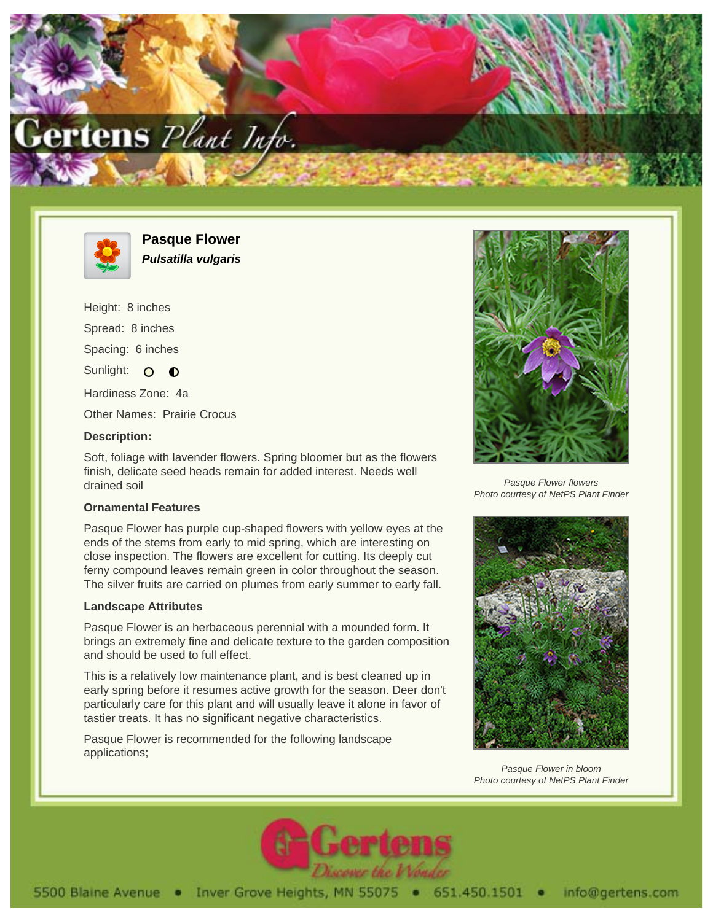



**Pasque Flower Pulsatilla vulgaris**

Height: 8 inches Spread: 8 inches Spacing: 6 inches Sunlight: O O Hardiness Zone: 4a Other Names: Prairie Crocus **Description:**

Soft, foliage with lavender flowers. Spring bloomer but as the flowers finish, delicate seed heads remain for added interest. Needs well drained soil

## **Ornamental Features**

Pasque Flower has purple cup-shaped flowers with yellow eyes at the ends of the stems from early to mid spring, which are interesting on close inspection. The flowers are excellent for cutting. Its deeply cut ferny compound leaves remain green in color throughout the season. The silver fruits are carried on plumes from early summer to early fall.

## **Landscape Attributes**

Pasque Flower is an herbaceous perennial with a mounded form. It brings an extremely fine and delicate texture to the garden composition and should be used to full effect.

This is a relatively low maintenance plant, and is best cleaned up in early spring before it resumes active growth for the season. Deer don't particularly care for this plant and will usually leave it alone in favor of tastier treats. It has no significant negative characteristics.

Pasque Flower is recommended for the following landscape applications;



Pasque Flower flowers Photo courtesy of NetPS Plant Finder



Pasque Flower in bloom Photo courtesy of NetPS Plant Finder